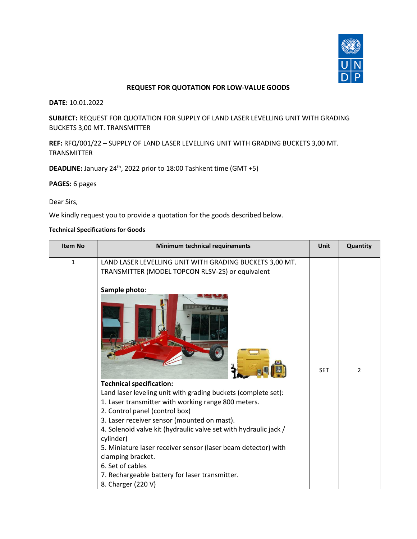

## **REQUEST FOR QUOTATION FOR LOW-VALUE GOODS**

**DATE:** 10.01.2022

**SUBJECT:** REQUEST FOR QUOTATION FOR SUPPLY OF LAND LASER LEVELLING UNIT WITH GRADING BUCKETS 3,00 MT. TRANSMITTER

**REF:** RFQ/001/22 – SUPPLY OF LAND LASER LEVELLING UNIT WITH GRADING BUCKETS 3,00 MT. TRANSMITTER

**DEADLINE:** January 24<sup>th</sup>, 2022 prior to 18:00 Tashkent time (GMT +5)

**PAGES:** 6 pages

Dear Sirs,

We kindly request you to provide a quotation for the goods described below.

#### **Technical Specifications for Goods**

| <b>Item No</b> | Minimum technical requirements                                                                                                                                                                                                                                                                                                                                                                                                                                                                                             | <b>Unit</b> | Quantity       |
|----------------|----------------------------------------------------------------------------------------------------------------------------------------------------------------------------------------------------------------------------------------------------------------------------------------------------------------------------------------------------------------------------------------------------------------------------------------------------------------------------------------------------------------------------|-------------|----------------|
| $\mathbf{1}$   | LAND LASER LEVELLING UNIT WITH GRADING BUCKETS 3,00 MT.<br>TRANSMITTER (MODEL TOPCON RLSV-2S) or equivalent<br>Sample photo:<br><b>Technical specification:</b><br>Land laser leveling unit with grading buckets (complete set):<br>1. Laser transmitter with working range 800 meters.<br>2. Control panel (control box)<br>3. Laser receiver sensor (mounted on mast).<br>4. Solenoid valve kit (hydraulic valve set with hydraulic jack /<br>cylinder)<br>5. Miniature laser receiver sensor (laser beam detector) with | <b>SET</b>  | $\overline{2}$ |
|                | clamping bracket.<br>6. Set of cables<br>7. Rechargeable battery for laser transmitter.<br>8. Charger (220 V)                                                                                                                                                                                                                                                                                                                                                                                                              |             |                |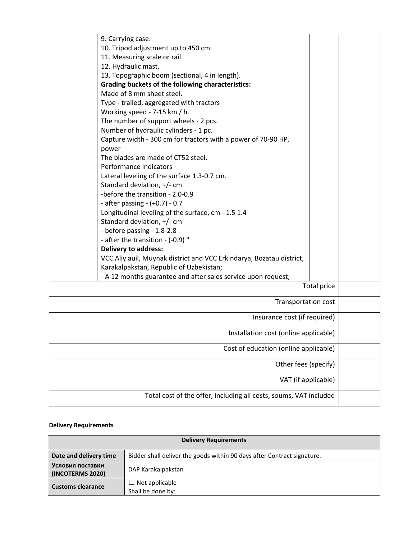| 9. Carrying case.                                                    |                              |  |
|----------------------------------------------------------------------|------------------------------|--|
| 10. Tripod adjustment up to 450 cm.                                  |                              |  |
| 11. Measuring scale or rail.                                         |                              |  |
| 12. Hydraulic mast.                                                  |                              |  |
| 13. Topographic boom (sectional, 4 in length).                       |                              |  |
| <b>Grading buckets of the following characteristics:</b>             |                              |  |
| Made of 8 mm sheet steel.                                            |                              |  |
| Type - trailed, aggregated with tractors                             |                              |  |
| Working speed - 7-15 km / h.                                         |                              |  |
| The number of support wheels - 2 pcs.                                |                              |  |
| Number of hydraulic cylinders - 1 pc.                                |                              |  |
| Capture width - 300 cm for tractors with a power of 70-90 HP.        |                              |  |
| power                                                                |                              |  |
| The blades are made of CT52 steel.                                   |                              |  |
| Performance indicators                                               |                              |  |
| Lateral leveling of the surface 1.3-0.7 cm.                          |                              |  |
| Standard deviation, +/- cm                                           |                              |  |
| -before the transition - 2.0-0.9                                     |                              |  |
| - after passing - (+0.7) - 0.7                                       |                              |  |
| Longitudinal leveling of the surface, cm - 1.5 1.4                   |                              |  |
| Standard deviation, +/- cm                                           |                              |  |
| - before passing - 1.8-2.8                                           |                              |  |
| - after the transition - (-0.9) "                                    |                              |  |
| <b>Delivery to address:</b>                                          |                              |  |
| VCC Aliy auil, Muynak district and VCC Erkindarya, Bozatau district, |                              |  |
| Karakalpakstan, Republic of Uzbekistan;                              |                              |  |
| - A 12 months guarantee and after sales service upon request;        |                              |  |
|                                                                      | Total price                  |  |
|                                                                      |                              |  |
|                                                                      | <b>Transportation cost</b>   |  |
|                                                                      | Insurance cost (if required) |  |
| Installation cost (online applicable)                                |                              |  |
| Cost of education (online applicable)                                |                              |  |
|                                                                      |                              |  |
|                                                                      | Other fees (specify)         |  |
|                                                                      | VAT (if applicable)          |  |
| Total cost of the offer, including all costs, soums, VAT included    |                              |  |
|                                                                      |                              |  |

# **Delivery Requirements**

| <b>Delivery Requirements</b>         |                                                                         |
|--------------------------------------|-------------------------------------------------------------------------|
| Date and delivery time               | Bidder shall deliver the goods within 90 days after Contract signature. |
| Условия поставки<br>(INCOTERMS 2020) | DAP Karakalpakstan                                                      |
| <b>Customs clearance</b>             | $\Box$ Not applicable<br>Shall be done by:                              |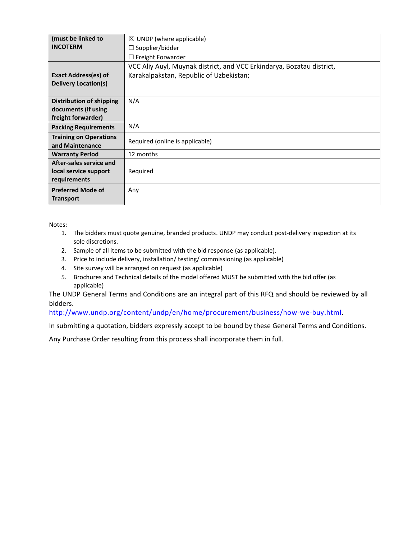| (must be linked to              | $\boxtimes$ UNDP (where applicable)                                   |
|---------------------------------|-----------------------------------------------------------------------|
| <b>INCOTERM</b>                 | $\Box$ Supplier/bidder                                                |
|                                 | $\Box$ Freight Forwarder                                              |
|                                 | VCC Aliy Auyl, Muynak district, and VCC Erkindarya, Bozatau district, |
| <b>Exact Address(es) of</b>     | Karakalpakstan, Republic of Uzbekistan;                               |
| <b>Delivery Location(s)</b>     |                                                                       |
|                                 |                                                                       |
| <b>Distribution of shipping</b> | N/A                                                                   |
| documents (if using             |                                                                       |
| freight forwarder)              |                                                                       |
| <b>Packing Requirements</b>     | N/A                                                                   |
| <b>Training on Operations</b>   | Required (online is applicable)                                       |
| and Maintenance                 |                                                                       |
| <b>Warranty Period</b>          | 12 months                                                             |
| After-sales service and         |                                                                       |
| local service support           | Required                                                              |
| requirements                    |                                                                       |
| <b>Preferred Mode of</b>        | Any                                                                   |
| <b>Transport</b>                |                                                                       |

Notes:

- 1. The bidders must quote genuine, branded products. UNDP may conduct post-delivery inspection at its sole discretions.
- 2. Sample of all items to be submitted with the bid response (as applicable).
- 3. Price to include delivery, installation/ testing/ commissioning (as applicable)
- 4. Site survey will be arranged on request (as applicable)
- 5. Brochures and Technical details of the model offered MUST be submitted with the bid offer (as applicable)

The UNDP General Terms and Conditions are an integral part of this RFQ and should be reviewed by all bidders.

[http://www.undp.org/content/undp/en/home/procurement/business/how-we-buy.html.](http://www.undp.org/content/undp/en/home/procurement/business/how-we-buy.html)

In submitting a quotation, bidders expressly accept to be bound by these General Terms and Conditions.

Any Purchase Order resulting from this process shall incorporate them in full.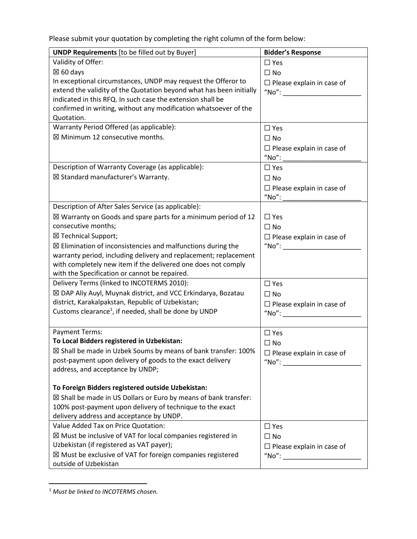Please submit your quotation by completing the right column of the form below:

| <b>UNDP Requirements</b> [to be filled out by Buyer]                                                  | <b>Bidder's Response</b>                                                  |
|-------------------------------------------------------------------------------------------------------|---------------------------------------------------------------------------|
| Validity of Offer:                                                                                    | $\Box$ Yes                                                                |
| $\boxtimes$ 60 days                                                                                   | $\Box$ No                                                                 |
| In exceptional circumstances, UNDP may request the Offeror to                                         | $\Box$ Please explain in case of                                          |
| extend the validity of the Quotation beyond what has been initially                                   | $"No"$ :                                                                  |
| indicated in this RFQ. In such case the extension shall be                                            |                                                                           |
| confirmed in writing, without any modification whatsoever of the                                      |                                                                           |
| Quotation.                                                                                            |                                                                           |
| Warranty Period Offered (as applicable):                                                              | $\Box$ Yes                                                                |
| ⊠ Minimum 12 consecutive months.                                                                      | $\Box$ No                                                                 |
|                                                                                                       | $\Box$ Please explain in case of                                          |
|                                                                                                       | "No":                                                                     |
| Description of Warranty Coverage (as applicable):                                                     | $\Box$ Yes                                                                |
| ⊠ Standard manufacturer's Warranty.                                                                   | $\Box$ No                                                                 |
|                                                                                                       | $\Box$ Please explain in case of                                          |
|                                                                                                       | "No":                                                                     |
| Description of After Sales Service (as applicable):                                                   |                                                                           |
| $\boxtimes$ Warranty on Goods and spare parts for a minimum period of 12                              | $\Box$ Yes                                                                |
| consecutive months;                                                                                   | $\Box$ No                                                                 |
| ⊠ Technical Support;                                                                                  | $\Box$ Please explain in case of                                          |
| ⊠ Elimination of inconsistencies and malfunctions during the                                          |                                                                           |
| warranty period, including delivery and replacement; replacement                                      |                                                                           |
| with completely new item if the delivered one does not comply                                         |                                                                           |
| with the Specification or cannot be repaired.                                                         |                                                                           |
| Delivery Terms (linked to INCOTERMS 2010):                                                            | $\square$ Yes                                                             |
| ⊠ DAP Aliy Auyl, Muynak district, and VCC Erkindarya, Bozatau                                         | $\Box$ No                                                                 |
| district, Karakalpakstan, Republic of Uzbekistan;                                                     | $\Box$ Please explain in case of                                          |
| Customs clearance <sup>1</sup> , if needed, shall be done by UNDP                                     | $\n  "No": \n  __________$                                                |
|                                                                                                       |                                                                           |
| <b>Payment Terms:</b>                                                                                 | $\Box$ Yes                                                                |
| To Local Bidders registered in Uzbekistan:                                                            | $\Box$ No                                                                 |
| ⊠ Shall be made in Uzbek Soums by means of bank transfer: 100%                                        | $\Box$ Please explain in case of                                          |
| post-payment upon delivery of goods to the exact delivery                                             | $"No"$ :                                                                  |
| address, and acceptance by UNDP;                                                                      |                                                                           |
|                                                                                                       |                                                                           |
| To Foreign Bidders registered outside Uzbekistan:                                                     |                                                                           |
| ⊠ Shall be made in US Dollars or Euro by means of bank transfer:                                      |                                                                           |
| 100% post-payment upon delivery of technique to the exact<br>delivery address and acceptance by UNDP. |                                                                           |
| Value Added Tax on Price Quotation:                                                                   |                                                                           |
| $\boxtimes$ Must be inclusive of VAT for local companies registered in                                | $\Box$ Yes                                                                |
| Uzbekistan (if registered as VAT payer);                                                              | $\Box$ No                                                                 |
| ⊠ Must be exclusive of VAT for foreign companies registered                                           | $\Box$ Please explain in case of<br>$\sqrt{\mathsf{No}^{\prime\prime}}$ : |
|                                                                                                       |                                                                           |
| outside of Uzbekistan                                                                                 |                                                                           |

<sup>1</sup> *Must be linked to INCOTERMS chosen.*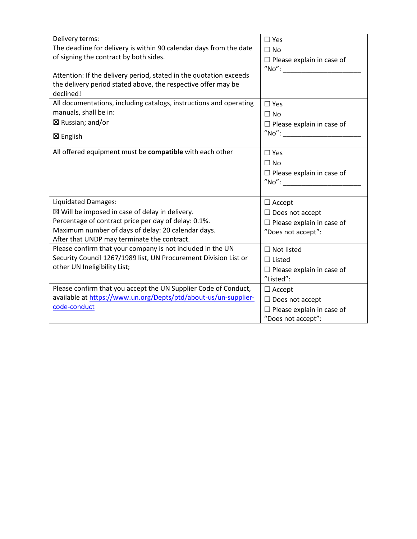| Delivery terms:<br>The deadline for delivery is within 90 calendar days from the date<br>of signing the contract by both sides.<br>Attention: If the delivery period, stated in the quotation exceeds<br>the delivery period stated above, the respective offer may be<br>declined! | $\square$ Yes<br>$\square$ No<br>$\Box$ Please explain in case of<br>$\sqrt{\ }$ No $\degree$ : |
|-------------------------------------------------------------------------------------------------------------------------------------------------------------------------------------------------------------------------------------------------------------------------------------|-------------------------------------------------------------------------------------------------|
| All documentations, including catalogs, instructions and operating<br>manuals, shall be in:                                                                                                                                                                                         | $\square$ Yes<br>$\Box$ No                                                                      |
| $\boxtimes$ Russian; and/or                                                                                                                                                                                                                                                         | $\Box$ Please explain in case of                                                                |
| ⊠ English                                                                                                                                                                                                                                                                           |                                                                                                 |
| All offered equipment must be compatible with each other                                                                                                                                                                                                                            | $\Box$ Yes<br>$\Box$ No<br>$\Box$ Please explain in case of<br>$"No"$ :                         |
| Liquidated Damages:                                                                                                                                                                                                                                                                 | $\Box$ Accept                                                                                   |
| $\boxtimes$ Will be imposed in case of delay in delivery.                                                                                                                                                                                                                           | $\Box$ Does not accept                                                                          |
| Percentage of contract price per day of delay: 0.1%.                                                                                                                                                                                                                                | $\Box$ Please explain in case of                                                                |
| Maximum number of days of delay: 20 calendar days.<br>After that UNDP may terminate the contract.                                                                                                                                                                                   | "Does not accept":                                                                              |
| Please confirm that your company is not included in the UN                                                                                                                                                                                                                          | $\square$ Not listed                                                                            |
| Security Council 1267/1989 list, UN Procurement Division List or                                                                                                                                                                                                                    | $\Box$ Listed                                                                                   |
| other UN Ineligibility List;                                                                                                                                                                                                                                                        | $\Box$ Please explain in case of<br>"Listed":                                                   |
| Please confirm that you accept the UN Supplier Code of Conduct,                                                                                                                                                                                                                     | $\Box$ Accept                                                                                   |
| available at https://www.un.org/Depts/ptd/about-us/un-supplier-                                                                                                                                                                                                                     | $\Box$ Does not accept                                                                          |
| code-conduct                                                                                                                                                                                                                                                                        | $\Box$ Please explain in case of                                                                |
|                                                                                                                                                                                                                                                                                     | "Does not accept":                                                                              |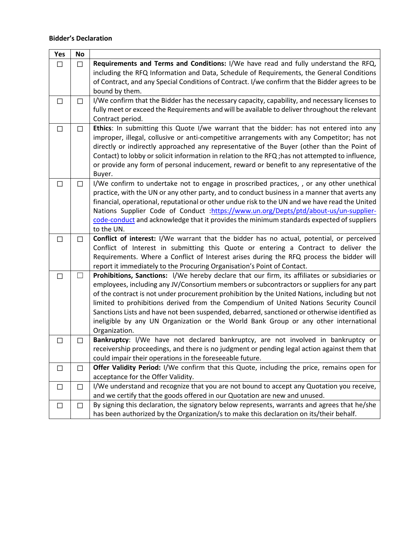## **Bidder's Declaration**

 $\blacksquare$ 

| Yes    | <b>No</b>    |                                                                                                                                                                                 |
|--------|--------------|---------------------------------------------------------------------------------------------------------------------------------------------------------------------------------|
| $\Box$ | $\Box$       | Requirements and Terms and Conditions: I/We have read and fully understand the RFQ,                                                                                             |
|        |              | including the RFQ Information and Data, Schedule of Requirements, the General Conditions                                                                                        |
|        |              | of Contract, and any Special Conditions of Contract. I/we confirm that the Bidder agrees to be                                                                                  |
|        |              | bound by them.                                                                                                                                                                  |
| $\Box$ | $\Box$       | I/We confirm that the Bidder has the necessary capacity, capability, and necessary licenses to                                                                                  |
|        |              | fully meet or exceed the Requirements and will be available to deliver throughout the relevant                                                                                  |
|        |              | Contract period.                                                                                                                                                                |
| $\Box$ | $\Box$       | Ethics: In submitting this Quote I/we warrant that the bidder: has not entered into any                                                                                         |
|        |              | improper, illegal, collusive or anti-competitive arrangements with any Competitor; has not                                                                                      |
|        |              | directly or indirectly approached any representative of the Buyer (other than the Point of                                                                                      |
|        |              | Contact) to lobby or solicit information in relation to the RFQ; has not attempted to influence,                                                                                |
|        |              | or provide any form of personal inducement, reward or benefit to any representative of the                                                                                      |
|        |              | Buyer.                                                                                                                                                                          |
| $\Box$ | $\Box$       | I/We confirm to undertake not to engage in proscribed practices, , or any other unethical                                                                                       |
|        |              | practice, with the UN or any other party, and to conduct business in a manner that averts any                                                                                   |
|        |              | financial, operational, reputational or other undue risk to the UN and we have read the United                                                                                  |
|        |              | Nations Supplier Code of Conduct : https://www.un.org/Depts/ptd/about-us/un-supplier-                                                                                           |
|        |              | code-conduct and acknowledge that it provides the minimum standards expected of suppliers                                                                                       |
|        |              | to the UN.                                                                                                                                                                      |
| □      | $\Box$       | Conflict of interest: I/We warrant that the bidder has no actual, potential, or perceived                                                                                       |
|        |              | Conflict of Interest in submitting this Quote or entering a Contract to deliver the<br>Requirements. Where a Conflict of Interest arises during the RFQ process the bidder will |
|        |              | report it immediately to the Procuring Organisation's Point of Contact.                                                                                                         |
| $\Box$ | $\mathsf{L}$ | Prohibitions, Sanctions: I/We hereby declare that our firm, its affiliates or subsidiaries or                                                                                   |
|        |              | employees, including any JV/Consortium members or subcontractors or suppliers for any part                                                                                      |
|        |              | of the contract is not under procurement prohibition by the United Nations, including but not                                                                                   |
|        |              | limited to prohibitions derived from the Compendium of United Nations Security Council                                                                                          |
|        |              | Sanctions Lists and have not been suspended, debarred, sanctioned or otherwise identified as                                                                                    |
|        |              | ineligible by any UN Organization or the World Bank Group or any other international                                                                                            |
|        |              | Organization.                                                                                                                                                                   |
| $\Box$ | $\Box$       | Bankruptcy: I/We have not declared bankruptcy, are not involved in bankruptcy or                                                                                                |
|        |              | receivership proceedings, and there is no judgment or pending legal action against them that                                                                                    |
|        |              | could impair their operations in the foreseeable future.                                                                                                                        |
| $\Box$ | $\Box$       | <b>Offer Validity Period:</b> I/We confirm that this Quote, including the price, remains open for                                                                               |
|        |              | acceptance for the Offer Validity.                                                                                                                                              |
| $\Box$ | $\Box$       | I/We understand and recognize that you are not bound to accept any Quotation you receive,                                                                                       |
|        |              | and we certify that the goods offered in our Quotation are new and unused.                                                                                                      |
| $\Box$ | $\Box$       | By signing this declaration, the signatory below represents, warrants and agrees that he/she                                                                                    |
|        |              | has been authorized by the Organization/s to make this declaration on its/their behalf.                                                                                         |